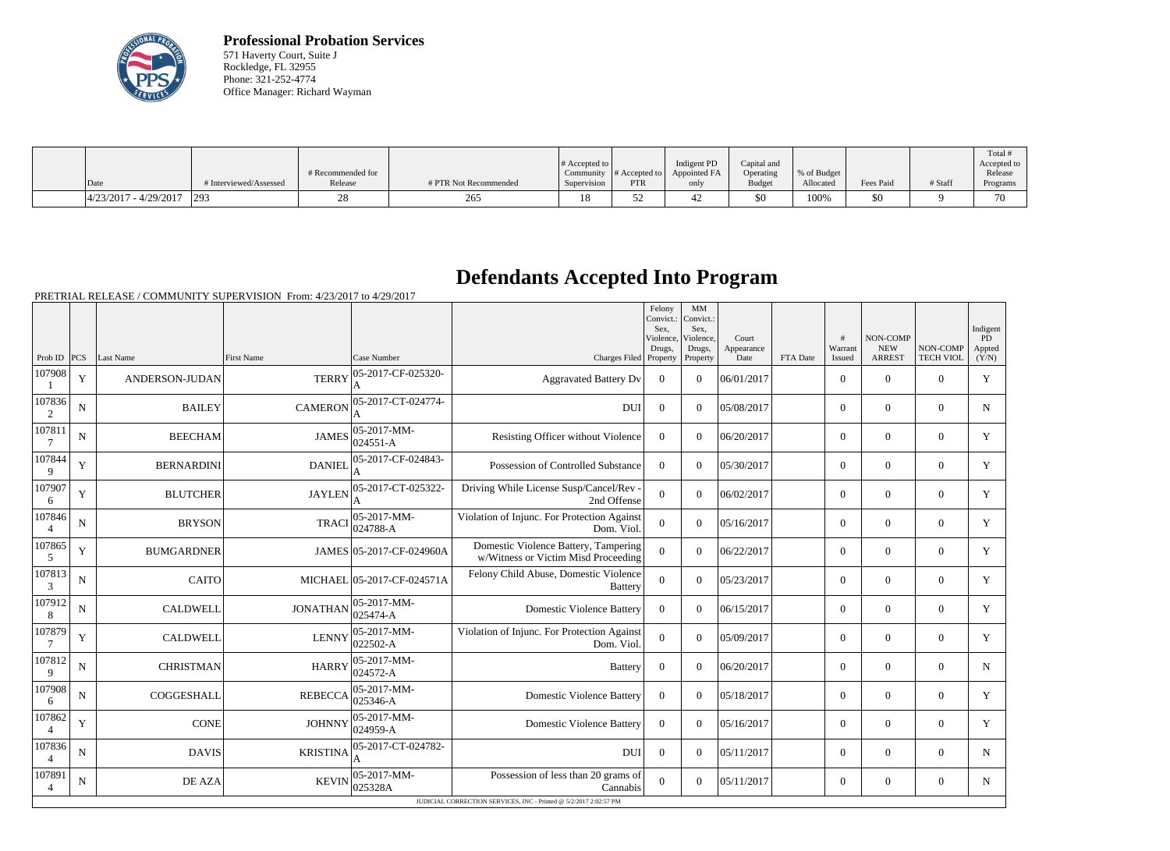

**Professional Probation Services** 571 Haverty Court, Suite J Rockledge, FL 32955 Phone: 321-252-4774 Office Manager: Richard Wayman

| Date                     | # Interviewed/Assessed | # Recommended for<br>Release | # PTR Not Recommended | # Accepted to<br>Supervision | Community $\#$ Accepted to<br>PTR | Indigent PD<br>Appointed FA<br>only | Capital and<br>Operating<br><b>Budget</b> | % of Budget<br>Allocated | Fees Paid | # Staff | Total<br>Accepted to<br>Release<br>Programs |
|--------------------------|------------------------|------------------------------|-----------------------|------------------------------|-----------------------------------|-------------------------------------|-------------------------------------------|--------------------------|-----------|---------|---------------------------------------------|
|                          |                        |                              |                       |                              |                                   |                                     |                                           |                          |           |         |                                             |
| $ 4/23/2017 - 4/29/2017$ | 293                    |                              | 265                   |                              |                                   | ┱∠                                  | \$0                                       | 100%                     | \$0       |         | 70                                          |

## **Defendants Accepted Into Program**

|                          |                                                                   |                   |                   |                             |                                                                             | Felony<br>Convict.:<br>Sex.<br>Violence,<br>Drugs, | MM<br>Convict.:<br>Sex.<br>Violence,<br>Drugs, | Court<br>Appearance |          | #<br>Warrant   | NON-COMP<br><b>NEW</b> | NON-COMP         | Indigent<br>PD<br>Appted |
|--------------------------|-------------------------------------------------------------------|-------------------|-------------------|-----------------------------|-----------------------------------------------------------------------------|----------------------------------------------------|------------------------------------------------|---------------------|----------|----------------|------------------------|------------------|--------------------------|
| Prob ID $ PCS $          |                                                                   | Last Name         | <b>First Name</b> | Case Number                 | Charges Filed Property                                                      |                                                    | Property                                       | Date                | FTA Date | Issued         | <b>ARREST</b>          | <b>TECH VIOL</b> | (Y/N)                    |
| 107908                   | Y                                                                 | ANDERSON-JUDAN    | <b>TERRY</b>      | 05-2017-CF-025320-<br>A     | <b>Aggravated Battery Dv</b>                                                | $\Omega$                                           | $\theta$                                       | 06/01/2017          |          | $\Omega$       | $\theta$               | $\Omega$         | Y                        |
| 107836<br>2              | N                                                                 | <b>BAILEY</b>     | <b>CAMERON</b>    | 05-2017-CT-024774-          | <b>DUI</b>                                                                  | $\Omega$                                           | $\Omega$                                       | 05/08/2017          |          | $\Omega$       | $\mathbf{0}$           | $\Omega$         | $N_{\odot}$              |
| 107811<br>$\overline{7}$ | ${\bf N}$                                                         | <b>BEECHAM</b>    | <b>JAMES</b>      | 05-2017-MM-<br>$024551 - A$ | Resisting Officer without Violence                                          | $\Omega$                                           | $\Omega$                                       | 06/20/2017          |          | $\overline{0}$ | $\overline{0}$         | $\Omega$         | Y                        |
| 107844<br>9              | Y                                                                 | <b>BERNARDINI</b> | <b>DANIEL</b>     | 05-2017-CF-024843-          | Possession of Controlled Substance                                          | $\Omega$                                           | $\Omega$                                       | 05/30/2017          |          | $\overline{0}$ | $\overline{0}$         | $\overline{0}$   | Y                        |
| 107907<br>6              | Y                                                                 | <b>BLUTCHER</b>   | <b>JAYLEN</b>     | 05-2017-CT-025322-          | Driving While License Susp/Cancel/Rev -<br>2nd Offense                      | $\Omega$                                           | $\theta$                                       | 06/02/2017          |          | $\Omega$       | $\theta$               | $\Omega$         | Y                        |
| 107846<br>$\Delta$       | N                                                                 | <b>BRYSON</b>     | <b>TRACI</b>      | 05-2017-MM-<br>$024788 - A$ | Violation of Injunc. For Protection Against<br>Dom. Viol.                   | $\overline{0}$                                     | $\theta$                                       | 05/16/2017          |          | $\overline{0}$ | $\theta$               | $\overline{0}$   | Y                        |
| 107865<br>5              | $\mathbf Y$                                                       | <b>BUMGARDNER</b> |                   | JAMES 05-2017-CF-024960A    | Domestic Violence Battery, Tampering<br>w/Witness or Victim Misd Proceeding | $\Omega$                                           | $\Omega$                                       | 06/22/2017          |          | $\overline{0}$ | $\Omega$               | $\overline{0}$   | Y                        |
| 107813<br>3              | $\mathbf N$                                                       | <b>CAITO</b>      |                   | MICHAEL 05-2017-CF-024571A  | Felony Child Abuse, Domestic Violence<br><b>Battery</b>                     | $\Omega$                                           | $\Omega$                                       | 05/23/2017          |          | $\Omega$       | $\Omega$               | $\Omega$         | Y                        |
| 107912<br>8              | N                                                                 | <b>CALDWELL</b>   | <b>JONATHAN</b>   | 05-2017-MM-<br>025474-A     | <b>Domestic Violence Battery</b>                                            | $\theta$                                           | $\theta$                                       | 06/15/2017          |          | $\Omega$       | $\theta$               | $\Omega$         | Y                        |
| 107879<br>$\overline{7}$ | Y                                                                 | <b>CALDWELL</b>   | <b>LENNY</b>      | 05-2017-MM-<br>022502-A     | Violation of Injunc. For Protection Against<br>Dom. Viol.                   | $\theta$                                           | $\Omega$                                       | 05/09/2017          |          | $\overline{0}$ | $\boldsymbol{0}$       | $\overline{0}$   | Y                        |
| 107812<br>9              | ${\bf N}$                                                         | <b>CHRISTMAN</b>  | <b>HARRY</b>      | 05-2017-MM-<br>024572-A     | <b>Battery</b>                                                              | $\mathbf{0}$                                       | $\Omega$                                       | 06/20/2017          |          | $\overline{0}$ | $\mathbf{0}$           | $\mathbf{0}$     | N                        |
| 107908<br>6              | N                                                                 | COGGESHALL        | <b>REBECCA</b>    | 05-2017-MM-<br>025346-A     | <b>Domestic Violence Battery</b>                                            | $\Omega$                                           | $\Omega$                                       | 05/18/2017          |          | $\overline{0}$ | $\theta$               | $\Omega$         | Y                        |
| 107862<br>$\overline{4}$ | Y                                                                 | <b>CONE</b>       | <b>JOHNNY</b>     | 05-2017-MM-<br>024959-A     | <b>Domestic Violence Battery</b>                                            | $\Omega$                                           | $\theta$                                       | 05/16/2017          |          | $\Omega$       | $\Omega$               | $\Omega$         | Y                        |
| 107836                   | N                                                                 | <b>DAVIS</b>      | <b>KRISTINA</b>   | 05-2017-CT-024782-          | <b>DUI</b>                                                                  | $\Omega$                                           | $\Omega$                                       | 05/11/2017          |          | $\Omega$       | $\Omega$               | $\Omega$         | $\mathbf N$              |
| 107891<br>$\overline{4}$ | $\mathbf N$                                                       | DE AZA            | <b>KEVIN</b>      | 05-2017-MM-<br>025328A      | Possession of less than 20 grams of<br>Cannabis                             | $\Omega$                                           | $\overline{0}$                                 | 05/11/2017          |          | $\overline{0}$ | $\mathbf{0}$           | $\overline{0}$   | N                        |
|                          | JUDICIAL CORRECTION SERVICES, INC - Printed @ 5/2/2017 2:02:57 PM |                   |                   |                             |                                                                             |                                                    |                                                |                     |          |                |                        |                  |                          |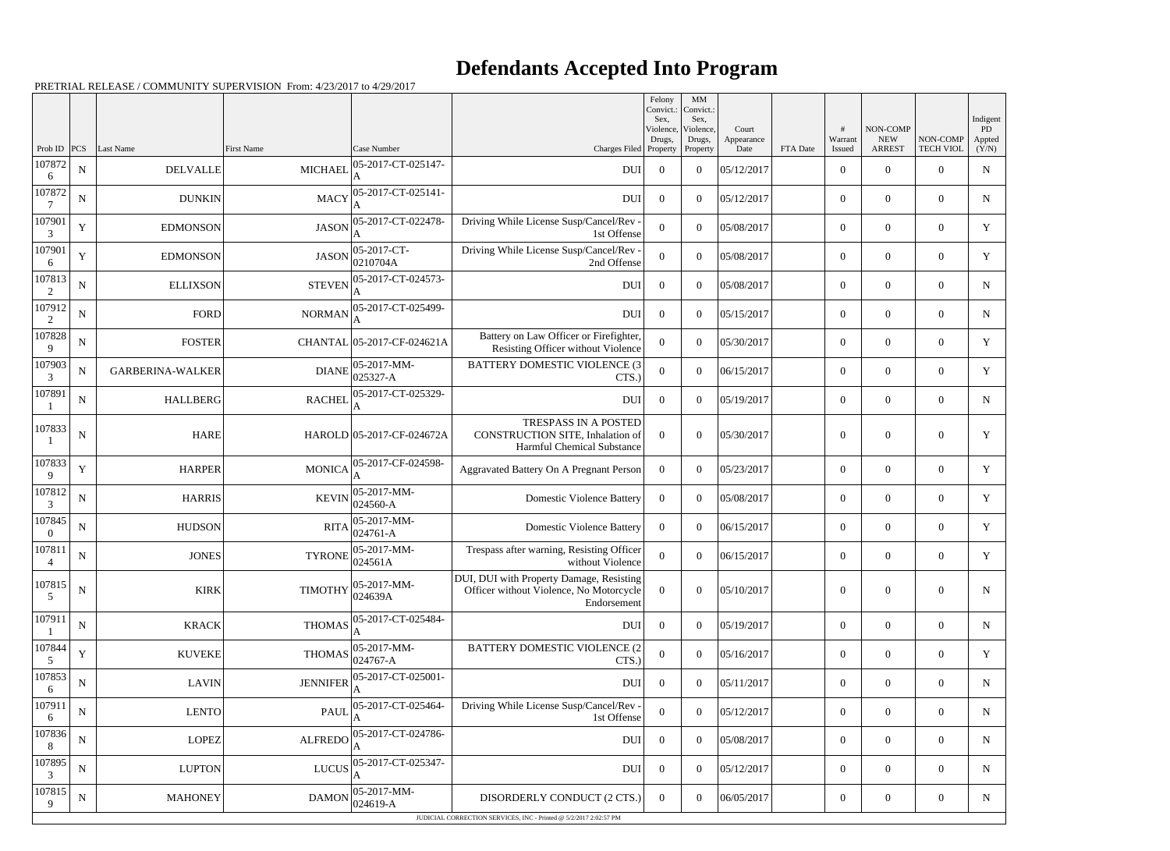## **Defendants Accepted Into Program**

|                    |             |                         |                 |                            |                                                                                                    | Felony<br>Convict.:<br>Sex. | MM<br>Convict.:<br>Sex,         |                             |          |                        |                                         |                              | Indigent               |
|--------------------|-------------|-------------------------|-----------------|----------------------------|----------------------------------------------------------------------------------------------------|-----------------------------|---------------------------------|-----------------------------|----------|------------------------|-----------------------------------------|------------------------------|------------------------|
| Prob ID            | PCS         | Last Name               | First Name      | Case Number                | Charges Filed Property                                                                             | Violence,<br>Drugs,         | Violence,<br>Drugs,<br>Property | Court<br>Appearance<br>Date | FTA Date | #<br>Warrant<br>Issued | NON-COMP<br><b>NEW</b><br><b>ARREST</b> | NON-COMP<br><b>TECH VIOL</b> | PD.<br>Appted<br>(Y/N) |
| 107872<br>6        | ${\bf N}$   | <b>DELVALLE</b>         | <b>MICHAEL</b>  | 05-2017-CT-025147-         | <b>DUI</b>                                                                                         | $\overline{0}$              | $\overline{0}$                  | 05/12/2017                  |          | $\mathbf{0}$           | $\theta$                                | $\Omega$                     | N                      |
| 107872             | $\mathbf N$ | <b>DUNKIN</b>           | <b>MACY</b>     | 05-2017-CT-025141-         | <b>DUI</b>                                                                                         | $\overline{0}$              | $\theta$                        | 05/12/2017                  |          | $\mathbf{0}$           | $\overline{0}$                          | $\Omega$                     | N                      |
| 107901<br>3        | Y           | <b>EDMONSON</b>         | <b>JASON</b>    | 05-2017-CT-022478-         | Driving While License Susp/Cancel/Rev -<br>1st Offense                                             | $\Omega$                    | $\theta$                        | 05/08/2017                  |          | $\overline{0}$         | $\theta$                                | $\Omega$                     | Y                      |
| 107901<br>6        | $\mathbf Y$ | <b>EDMONSON</b>         | <b>JASON</b>    | 05-2017-CT-<br>0210704A    | Driving While License Susp/Cancel/Rev -<br>2nd Offense                                             | $\Omega$                    | $\theta$                        | 05/08/2017                  |          | $\overline{0}$         | $\overline{0}$                          | $\Omega$                     | Y                      |
| 107813<br>2        | ${\bf N}$   | <b>ELLIXSON</b>         | <b>STEVEN</b>   | 05-2017-CT-024573-         | <b>DUI</b>                                                                                         | $\overline{0}$              | $\theta$                        | 05/08/2017                  |          | $\mathbf{0}$           | $\overline{0}$                          | $\Omega$                     | N                      |
| 107912<br>2        | $\mathbf N$ | <b>FORD</b>             | <b>NORMAN</b>   | 05-2017-CT-025499-<br>А    | <b>DUI</b>                                                                                         | $\overline{0}$              | $\theta$                        | 05/15/2017                  |          | $\mathbf{0}$           | $\overline{0}$                          | $\Omega$                     | N                      |
| 107828<br>9        | ${\bf N}$   | <b>FOSTER</b>           |                 | CHANTAL 05-2017-CF-024621A | Battery on Law Officer or Firefighter,<br>Resisting Officer without Violence                       | $\Omega$                    | $\theta$                        | 05/30/2017                  |          | $\overline{0}$         | $\theta$                                | $\Omega$                     | Y                      |
| 107903<br>3        | ${\bf N}$   | <b>GARBERINA-WALKER</b> | <b>DIANE</b>    | 05-2017-MM-<br>025327-A    | <b>BATTERY DOMESTIC VIOLENCE (3)</b><br>CTS.)                                                      | $\overline{0}$              | $\overline{0}$                  | 06/15/2017                  |          | $\overline{0}$         | $\boldsymbol{0}$                        | $\Omega$                     | Y                      |
| 107891             | ${\bf N}$   | <b>HALLBERG</b>         | <b>RACHEL</b>   | 05-2017-CT-025329-         | <b>DUI</b>                                                                                         | $\overline{0}$              | $\theta$                        | 05/19/2017                  |          | $\mathbf{0}$           | $\overline{0}$                          | $\theta$                     | N                      |
| 107833             | $\mathbf N$ | <b>HARE</b>             |                 | HAROLD 05-2017-CF-024672A  | TRESPASS IN A POSTED<br>CONSTRUCTION SITE, Inhalation of<br>Harmful Chemical Substance             | $\Omega$                    | $\theta$                        | 05/30/2017                  |          | $\mathbf{0}$           | $\overline{0}$                          | $\theta$                     | Y                      |
| 107833<br>9        | $\mathbf Y$ | <b>HARPER</b>           | <b>MONICA</b>   | 05-2017-CF-024598-         | Aggravated Battery On A Pregnant Person                                                            | $\bf{0}$                    | $\theta$                        | 05/23/2017                  |          | $\overline{0}$         | $\overline{0}$                          | $\theta$                     | Y                      |
| 107812<br>3        | $\mathbf N$ | <b>HARRIS</b>           | <b>KEVIN</b>    | 05-2017-MM-<br>024560-A    | <b>Domestic Violence Battery</b>                                                                   | $\Omega$                    | $\overline{0}$                  | 05/08/2017                  |          | $\mathbf{0}$           | $\overline{0}$                          | $\overline{0}$               | Y                      |
| 107845<br>$\Omega$ | ${\bf N}$   | <b>HUDSON</b>           | <b>RITA</b>     | 05-2017-MM-<br>024761-A    | <b>Domestic Violence Battery</b>                                                                   | $\overline{0}$              | $\theta$                        | 06/15/2017                  |          | $\mathbf{0}$           | $\overline{0}$                          | $\Omega$                     | Y                      |
| 107811             | $\mathbf N$ | <b>JONES</b>            | <b>TYRONE</b>   | 05-2017-MM-<br>024561A     | Trespass after warning, Resisting Officer<br>without Violence                                      | $\overline{0}$              | $\overline{0}$                  | 06/15/2017                  |          | $\mathbf{0}$           | $\overline{0}$                          | $\overline{0}$               | Y                      |
| 107815<br>5        | ${\bf N}$   | <b>KIRK</b>             | <b>TIMOTHY</b>  | 05-2017-MM-<br>024639A     | DUI, DUI with Property Damage, Resisting<br>Officer without Violence, No Motorcycle<br>Endorsement | $\theta$                    | $\mathbf{0}$                    | 05/10/2017                  |          | $\boldsymbol{0}$       | $\boldsymbol{0}$                        | $\mathbf{0}$                 | $\mathbf N$            |
| 107911             | ${\bf N}$   | <b>KRACK</b>            | <b>THOMAS</b>   | 05-2017-CT-025484-         | DUI                                                                                                | $\overline{0}$              | $\overline{0}$                  | 05/19/2017                  |          | $\boldsymbol{0}$       | $\overline{0}$                          | $\overline{0}$               | N                      |
| 107844<br>5        | $\mathbf Y$ | <b>KUVEKE</b>           | <b>THOMAS</b>   | 05-2017-MM-<br>024767-A    | BATTERY DOMESTIC VIOLENCE (2<br>CTS.)                                                              | $\mathbf{0}$                | $\mathbf{0}$                    | 05/16/2017                  |          | $\boldsymbol{0}$       | $\overline{0}$                          | $\overline{0}$               | Y                      |
| 107853<br>6        | $\mathbf N$ | <b>LAVIN</b>            | <b>JENNIFER</b> | 05-2017-CT-025001-         | <b>DUI</b>                                                                                         | $\overline{0}$              | $\overline{0}$                  | 05/11/2017                  |          | $\boldsymbol{0}$       | $\overline{0}$                          | $\overline{0}$               | N                      |
| 107911<br>6        | ${\bf N}$   | LENTO                   | <b>PAUL</b>     | 05-2017-CT-025464-         | Driving While License Susp/Cancel/Rev -<br>1st Offense                                             | $\overline{0}$              | $\overline{0}$                  | 05/12/2017                  |          | $\overline{0}$         | $\overline{0}$                          | $\overline{0}$               | $N_{\rm}$              |
| 107836<br>8        | ${\bf N}$   | LOPEZ                   | <b>ALFREDO</b>  | 05-2017-CT-024786-         | DUI                                                                                                | $\overline{0}$              | $\overline{0}$                  | 05/08/2017                  |          | $\boldsymbol{0}$       | $\overline{0}$                          | $\overline{0}$               | N                      |
| 107895<br>3        | ${\bf N}$   | <b>LUPTON</b>           | LUCUS           | 05-2017-CT-025347-         | DUI                                                                                                | $\boldsymbol{0}$            | $\overline{0}$                  | 05/12/2017                  |          | $\boldsymbol{0}$       | $\overline{0}$                          | $\overline{0}$               | $\mathbf N$            |
| 107815<br>9        | $\mathbf N$ | <b>MAHONEY</b>          | <b>DAMON</b>    | 05-2017-MM-<br>024619-A    | DISORDERLY CONDUCT (2 CTS.)                                                                        | $\overline{0}$              | $\overline{0}$                  | 06/05/2017                  |          | $\boldsymbol{0}$       | $\overline{0}$                          | $\mathbf{0}$                 | N                      |
|                    |             |                         |                 |                            | JUDICIAL CORRECTION SERVICES, INC - Printed @ 5/2/2017 2:02:57 PM                                  |                             |                                 |                             |          |                        |                                         |                              |                        |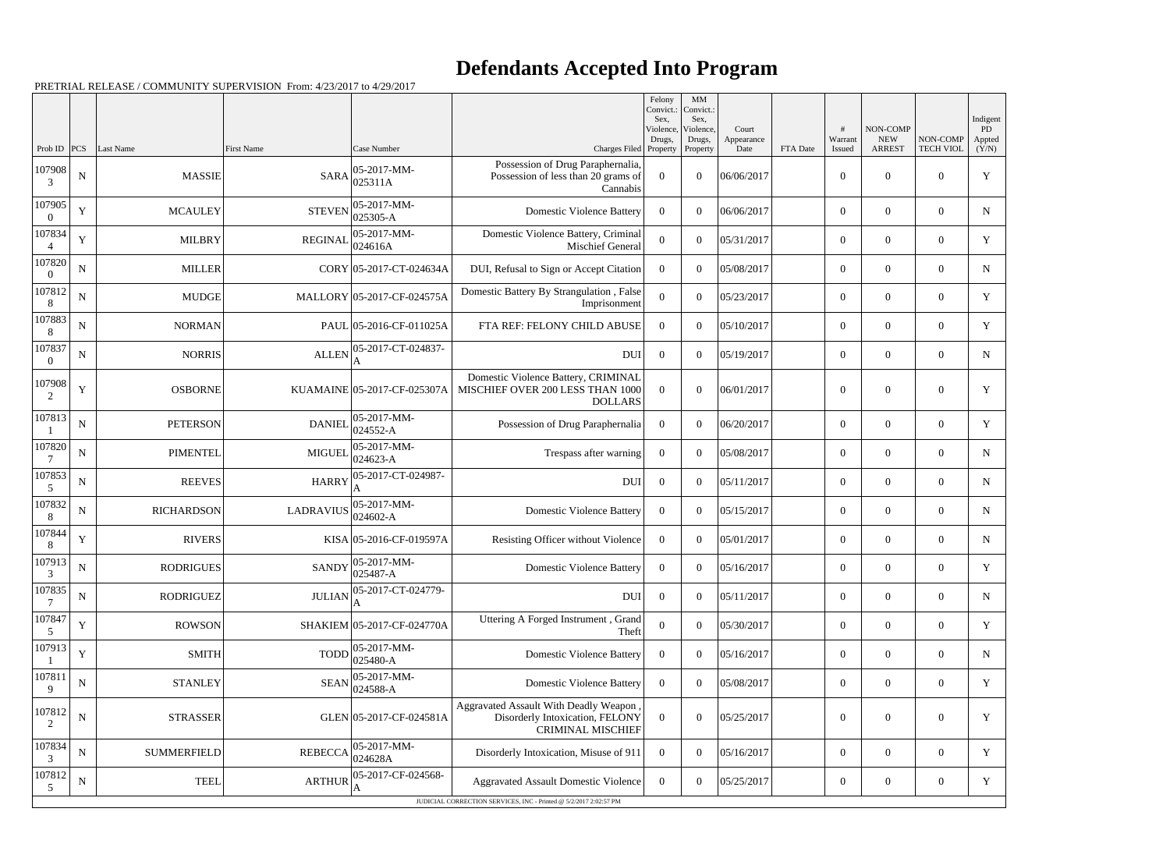## **Defendants Accepted Into Program**

|                    |             |                    |                   |                                                                  |                                                                                                      | Felony<br>Sex.      | $\mathbf{M}\mathbf{M}$<br>Convict.: Convict.:<br>Sex, |                     |          |                  |                        |                  | Indigent     |
|--------------------|-------------|--------------------|-------------------|------------------------------------------------------------------|------------------------------------------------------------------------------------------------------|---------------------|-------------------------------------------------------|---------------------|----------|------------------|------------------------|------------------|--------------|
|                    |             |                    |                   |                                                                  |                                                                                                      | Violence,<br>Drugs, | Violence,<br>Drugs,                                   | Court<br>Appearance |          | Warrant          | NON-COMP<br><b>NEW</b> | NON-COMP         | PD<br>Appted |
| Prob ID            | PCS         | Last Name          | <b>First Name</b> | Case Number                                                      | Charges Filed Property<br>Possession of Drug Paraphernalia,                                          |                     | Property                                              | Date                | FTA Date | Issued           | <b>ARREST</b>          | <b>TECH VIOL</b> | (Y/N)        |
| 107908<br>3        | ${\bf N}$   | <b>MASSIE</b>      | <b>SARA</b>       | 05-2017-MM-<br>025311A                                           | Possession of less than 20 grams of<br>Cannabis                                                      | $\theta$            | $\Omega$                                              | 06/06/2017          |          | $\overline{0}$   | $\Omega$               | $\theta$         | Y            |
| 107905             | Y           | <b>MCAULEY</b>     | <b>STEVEN</b>     | 05-2017-MM-<br>$025305-A$                                        | <b>Domestic Violence Battery</b>                                                                     | $\Omega$            | $\Omega$                                              | 06/06/2017          |          | $\overline{0}$   | $\overline{0}$         | $\overline{0}$   | $\mathbf N$  |
| 107834             | Y           | <b>MILBRY</b>      | <b>REGINAL</b>    | 05-2017-MM-<br>024616A                                           | Domestic Violence Battery, Criminal<br>Mischief General                                              | $\theta$            | $\theta$                                              | 05/31/2017          |          | $\overline{0}$   | $\Omega$               | $\theta$         | Y            |
| 107820             | N           | <b>MILLER</b>      |                   | CORY 05-2017-CT-024634A                                          | DUI, Refusal to Sign or Accept Citation                                                              | $\Omega$            | $\Omega$                                              | 05/08/2017          |          | $\overline{0}$   | $\overline{0}$         | $\overline{0}$   | $\mathbf N$  |
| 107812<br>8        | N           | <b>MUDGE</b>       |                   | MALLORY 05-2017-CF-024575A                                       | Domestic Battery By Strangulation, False<br>Imprisonment                                             | $\Omega$            | $\Omega$                                              | 05/23/2017          |          | $\overline{0}$   | $\Omega$               | $\Omega$         | Y            |
| 107883<br>8        | N           | <b>NORMAN</b>      |                   | PAUL 05-2016-CF-011025A                                          | FTA REF: FELONY CHILD ABUSE                                                                          | $\theta$            | $\Omega$                                              | 05/10/2017          |          | $\overline{0}$   | $\overline{0}$         | $\overline{0}$   | $\mathbf Y$  |
| 107837<br>$\Omega$ | ${\bf N}$   | <b>NORRIS</b>      | <b>ALLEN</b>      | 05-2017-CT-024837-                                               | <b>DUI</b>                                                                                           | $\overline{0}$      | $\theta$                                              | 05/19/2017          |          | $\overline{0}$   | $\overline{0}$         | $\theta$         | N            |
| 107908<br>2        | Y           | <b>OSBORNE</b>     |                   | KUAMAINE 05-2017-CF-025307A                                      | Domestic Violence Battery, CRIMINAL<br>MISCHIEF OVER 200 LESS THAN 1000<br><b>DOLLARS</b>            | $\Omega$            | $\Omega$                                              | 06/01/2017          |          | $\overline{0}$   | $\overline{0}$         | $\theta$         | Y            |
| 107813             | ${\bf N}$   | <b>PETERSON</b>    | <b>DANIEL</b>     | 05-2017-MM-<br>024552-A                                          | Possession of Drug Paraphernalia                                                                     | $\Omega$            | $\Omega$                                              | 06/20/2017          |          | $\overline{0}$   | $\Omega$               | $\Omega$         | Y            |
| 107820             | N           | <b>PIMENTEL</b>    | <b>MIGUEL</b>     | 05-2017-MM-<br>$024623 - A$                                      | Trespass after warning                                                                               | $\overline{0}$      | $\Omega$                                              | 05/08/2017          |          | $\overline{0}$   | $\Omega$               | $\Omega$         | $\mathbf N$  |
| 107853<br>5        | ${\bf N}$   | <b>REEVES</b>      | <b>HARRY</b>      | 05-2017-CT-024987-                                               | <b>DUI</b>                                                                                           | $\overline{0}$      | $\theta$                                              | 05/11/2017          |          | $\overline{0}$   | $\Omega$               | $\theta$         | N            |
| 107832<br>8        | N           | <b>RICHARDSON</b>  | <b>LADRAVIUS</b>  | 05-2017-MM-<br>$024602 - A$                                      | <b>Domestic Violence Battery</b>                                                                     | $\Omega$            | $\Omega$                                              | 05/15/2017          |          | $\overline{0}$   | $\overline{0}$         | $\overline{0}$   | N            |
| 107844<br>8        | Y           | <b>RIVERS</b>      |                   | KISA 05-2016-CF-019597A                                          | Resisting Officer without Violence                                                                   | $\overline{0}$      | $\theta$                                              | 05/01/2017          |          | $\overline{0}$   | $\Omega$               | $\theta$         | N            |
| 107913<br>3        | ${\bf N}$   | <b>RODRIGUES</b>   |                   | $SANDY$ $\left  \frac{05-2017-MM}{025} \right $<br>$ 025487 - A$ | Domestic Violence Battery                                                                            | $\mathbf{0}$        | $\overline{0}$                                        | 05/16/2017          |          | $\boldsymbol{0}$ | $\boldsymbol{0}$       | $\overline{0}$   | Y            |
| 107835             | ${\bf N}$   | <b>RODRIGUEZ</b>   | <b>JULIAN</b>     | 05-2017-CT-024779-                                               | <b>DUI</b>                                                                                           | $\overline{0}$      | $\boldsymbol{0}$                                      | 05/11/2017          |          | $\overline{0}$   | $\overline{0}$         | $\overline{0}$   | N            |
| 107847<br>5        | Y           | <b>ROWSON</b>      |                   | SHAKIEM 05-2017-CF-024770A                                       | Uttering A Forged Instrument, Grand<br>Theft                                                         | $\boldsymbol{0}$    | $\theta$                                              | 05/30/2017          |          | $\overline{0}$   | $\boldsymbol{0}$       | $\overline{0}$   | Y            |
| 107913             | $\mathbf Y$ | <b>SMITH</b>       | <b>TODD</b>       | 05-2017-MM-<br>$025480 - A$                                      | <b>Domestic Violence Battery</b>                                                                     | $\overline{0}$      | $\Omega$                                              | 05/16/2017          |          | $\overline{0}$   | $\overline{0}$         | $\overline{0}$   | N            |
| 107811<br>9        | ${\bf N}$   | <b>STANLEY</b>     | <b>SEAN</b>       | 05-2017-MM-<br>024588-A                                          | <b>Domestic Violence Battery</b>                                                                     | $\overline{0}$      | $\Omega$                                              | 05/08/2017          |          | $\overline{0}$   | $\boldsymbol{0}$       | $\overline{0}$   | Y            |
| 107812<br>2        | ${\bf N}$   | <b>STRASSER</b>    |                   | GLEN 05-2017-CF-024581A                                          | Aggravated Assault With Deadly Weapon<br>Disorderly Intoxication, FELONY<br><b>CRIMINAL MISCHIEF</b> | $\overline{0}$      | $\overline{0}$                                        | 05/25/2017          |          | $\boldsymbol{0}$ | $\boldsymbol{0}$       | $\overline{0}$   | Y            |
| 107834<br>3        | N           | <b>SUMMERFIELD</b> | <b>REBECCA</b>    | 05-2017-MM-<br>024628A                                           | Disorderly Intoxication, Misuse of 911                                                               | $\overline{0}$      | $\overline{0}$                                        | 05/16/2017          |          | $\overline{0}$   | $\boldsymbol{0}$       | $\overline{0}$   | Y            |
| 107812<br>5        | ${\bf N}$   | <b>TEEL</b>        | <b>ARTHUR</b>     | 05-2017-CF-024568-                                               | <b>Aggravated Assault Domestic Violence</b>                                                          | $\overline{0}$      | $\overline{0}$                                        | 05/25/2017          |          | $\overline{0}$   | $\boldsymbol{0}$       | $\overline{0}$   | Y            |
|                    |             |                    |                   |                                                                  | JUDICIAL CORRECTION SERVICES, INC - Printed @ 5/2/2017 2:02:57 PM                                    |                     |                                                       |                     |          |                  |                        |                  |              |